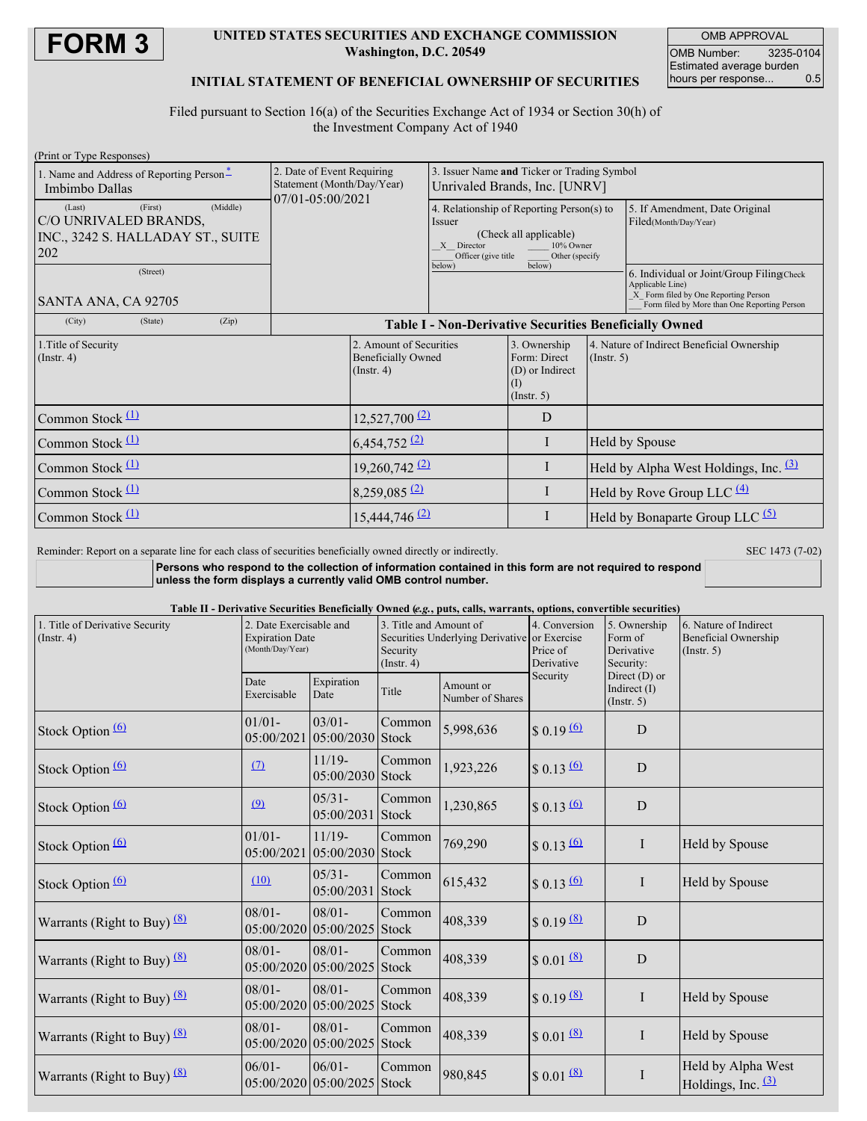

#### **UNITED STATES SECURITIES AND EXCHANGE COMMISSION Washington, D.C. 20549**

OMB APPROVAL OMB Number: 3235-0104 Estimated average burden<br>hours per response... 0.5 hours per response...

#### **INITIAL STATEMENT OF BENEFICIAL OWNERSHIP OF SECURITIES**

Filed pursuant to Section 16(a) of the Securities Exchange Act of 1934 or Section 30(h) of the Investment Company Act of 1940

| (Print or Type Responses)                                                                          |         |                                                          |                                                               |                                                                                            |                                                                                                                                                                        |                                                           |                                   |                                                                                                                                                       |
|----------------------------------------------------------------------------------------------------|---------|----------------------------------------------------------|---------------------------------------------------------------|--------------------------------------------------------------------------------------------|------------------------------------------------------------------------------------------------------------------------------------------------------------------------|-----------------------------------------------------------|-----------------------------------|-------------------------------------------------------------------------------------------------------------------------------------------------------|
| 1. Name and Address of Reporting Person-<br>Imbimbo Dallas                                         |         | 2. Date of Event Requiring<br>Statement (Month/Day/Year) |                                                               | 3. Issuer Name and Ticker or Trading Symbol<br>Unrivaled Brands, Inc. [UNRV]               |                                                                                                                                                                        |                                                           |                                   |                                                                                                                                                       |
| (Middle)<br>(First)<br>(Last)<br>C/O UNRIVALED BRANDS,<br>INC., 3242 S. HALLADAY ST., SUITE<br>202 |         |                                                          | $07/01 - 05:00/2021$                                          |                                                                                            | 4. Relationship of Reporting Person(s) to<br>Issuer<br>(Check all applicable)<br>X Director<br>10% Owner<br>Officer (give title)<br>Other (specify<br>below)<br>below) |                                                           |                                   | 5. If Amendment, Date Original<br>Filed(Month/Day/Year)                                                                                               |
| (Street)<br>SANTA ANA, CA 92705                                                                    |         |                                                          |                                                               |                                                                                            |                                                                                                                                                                        |                                                           |                                   | 6. Individual or Joint/Group Filing(Check<br>Applicable Line)<br>X Form filed by One Reporting Person<br>Form filed by More than One Reporting Person |
| (City)                                                                                             | (State) | (Zip)                                                    | <b>Table I - Non-Derivative Securities Beneficially Owned</b> |                                                                                            |                                                                                                                                                                        |                                                           |                                   |                                                                                                                                                       |
| 1. Title of Security<br>$($ Instr. 4 $)$                                                           |         |                                                          | $($ Instr. 4 $)$                                              | 2. Amount of Securities<br>3. Ownership<br><b>Beneficially Owned</b><br>(I)<br>(Insert. 5) |                                                                                                                                                                        | 4. Nature of Indirect Beneficial Ownership<br>(Insert, 5) |                                   |                                                                                                                                                       |
| Common Stock $(1)$                                                                                 |         |                                                          |                                                               | $12,527,700$ <sup>(2)</sup>                                                                |                                                                                                                                                                        | D                                                         |                                   |                                                                                                                                                       |
| Common Stock $(1)$                                                                                 |         |                                                          |                                                               | $6,454,752$ <sup>(2)</sup>                                                                 |                                                                                                                                                                        | I                                                         | <b>Held by Spouse</b>             |                                                                                                                                                       |
| Common Stock $(1)$                                                                                 |         |                                                          |                                                               | $19,260,742 \frac{2}{2}$                                                                   |                                                                                                                                                                        | I                                                         |                                   | Held by Alpha West Holdings, Inc. $(3)$                                                                                                               |
| Common Stock $(1)$                                                                                 |         |                                                          |                                                               | $8,259,085$ <sup>(2)</sup>                                                                 |                                                                                                                                                                        | $\bf{I}$                                                  | Held by Rove Group LLC $(4)$      |                                                                                                                                                       |
| Common Stock $(1)$                                                                                 |         |                                                          |                                                               | $15,444,746$ <sup>(2)</sup>                                                                |                                                                                                                                                                        | I                                                         | Held by Bonaparte Group LLC $(5)$ |                                                                                                                                                       |

Reminder: Report on a separate line for each class of securities beneficially owned directly or indirectly. SEC 1473 (7-02)

**Persons who respond to the collection of information contained in this form are not required to respond unless the form displays a currently valid OMB control number.**

Table II - Derivative Securities Beneficially Owned (e.g., puts, calls, warrants, options, convertible securities)

| 1. Title of Derivative Security<br>$($ Instr. 4 $)$ | 2. Date Exercisable and<br><b>Expiration Date</b><br>(Month/Day/Year) |                                          | O when jogs, puts, came, was ranted, options, convertible security<br>3. Title and Amount of<br>Securities Underlying Derivative or Exercise<br>Security<br>$($ Instr. 4 $)$ |                               | 4. Conversion<br>Price of<br>Derivative | 5. Ownership<br>Form of<br>Derivative<br>Security: | 6. Nature of Indirect<br><b>Beneficial Ownership</b><br>(Insert. 5) |
|-----------------------------------------------------|-----------------------------------------------------------------------|------------------------------------------|------------------------------------------------------------------------------------------------------------------------------------------------------------------------------|-------------------------------|-----------------------------------------|----------------------------------------------------|---------------------------------------------------------------------|
|                                                     | Date<br>Exercisable                                                   | Expiration<br>Date                       | Title                                                                                                                                                                        | Amount or<br>Number of Shares | Security                                | Direct $(D)$ or<br>Indirect $(I)$<br>(Insert. 5)   |                                                                     |
| Stock Option (6)                                    | $01/01 -$<br>05:00/2021                                               | $03/01 -$<br>05:00/2030 Stock            | Common                                                                                                                                                                       | 5,998,636                     | $$0.19 \, 60$                           | $\mathbf D$                                        |                                                                     |
| Stock Option (6)                                    | (7)                                                                   | $11/19-$<br>05:00/2030 Stock             | Common                                                                                                                                                                       | 1,923,226                     | $$0.13 \, 60$                           | $\mathbf D$                                        |                                                                     |
| Stock Option <sup>(6)</sup>                         | (9)                                                                   | $05/31 -$<br>05:00/2031                  | Common<br><b>Stock</b>                                                                                                                                                       | 1,230,865                     | $$0.13 \, 60$                           | $\mathbf D$                                        |                                                                     |
| Stock Option (6)                                    | $01/01 -$<br>05:00/2021                                               | $11/19-$<br>05:00/2030 Stock             | Common                                                                                                                                                                       | 769,290                       | $$0.13 \, 60$                           | $\bf{I}$                                           | Held by Spouse                                                      |
| Stock Option <sup>(6)</sup>                         | (10)                                                                  | $05/31 -$<br>05:00/2031                  | Common<br>Stock                                                                                                                                                              | 615,432                       | $$0.13 \, 60$                           | $\bf{I}$                                           | Held by Spouse                                                      |
| Warrants (Right to Buy) $(8)$                       | $08/01 -$                                                             | $08/01 -$<br>05:00/2020 05:00/2025 Stock | Common                                                                                                                                                                       | 408,339                       | $$0.19$ (8)                             | $\mathbf D$                                        |                                                                     |
| Warrants (Right to Buy) $(8)$                       | $08/01 -$                                                             | $08/01 -$<br>05:00/2020 05:00/2025 Stock | Common                                                                                                                                                                       | 408,339                       | $$0.01$ (8)                             | $\mathbf D$                                        |                                                                     |
| Warrants (Right to Buy) $(8)$                       | $08/01 -$                                                             | $08/01 -$<br>05:00/2020 05:00/2025       | Common<br><b>Stock</b>                                                                                                                                                       | 408,339                       | $$0.19$ (8)                             | $\bf{I}$                                           | Held by Spouse                                                      |
| Warrants (Right to Buy) $(8)$                       | $08/01 -$                                                             | $08/01 -$<br>05:00/2020 05:00/2025 Stock | Common                                                                                                                                                                       | 408,339                       | $$0.01$ (8)                             | $\rm I$                                            | Held by Spouse                                                      |
| Warrants (Right to Buy) $\frac{(8)}{2}$             | $06/01 -$                                                             | $06/01 -$<br>05:00/2020 05:00/2025 Stock | Common                                                                                                                                                                       | 980,845                       | $$0.01$ $(8)$                           | $\bf{I}$                                           | Held by Alpha West<br>Holdings, Inc. $(3)$                          |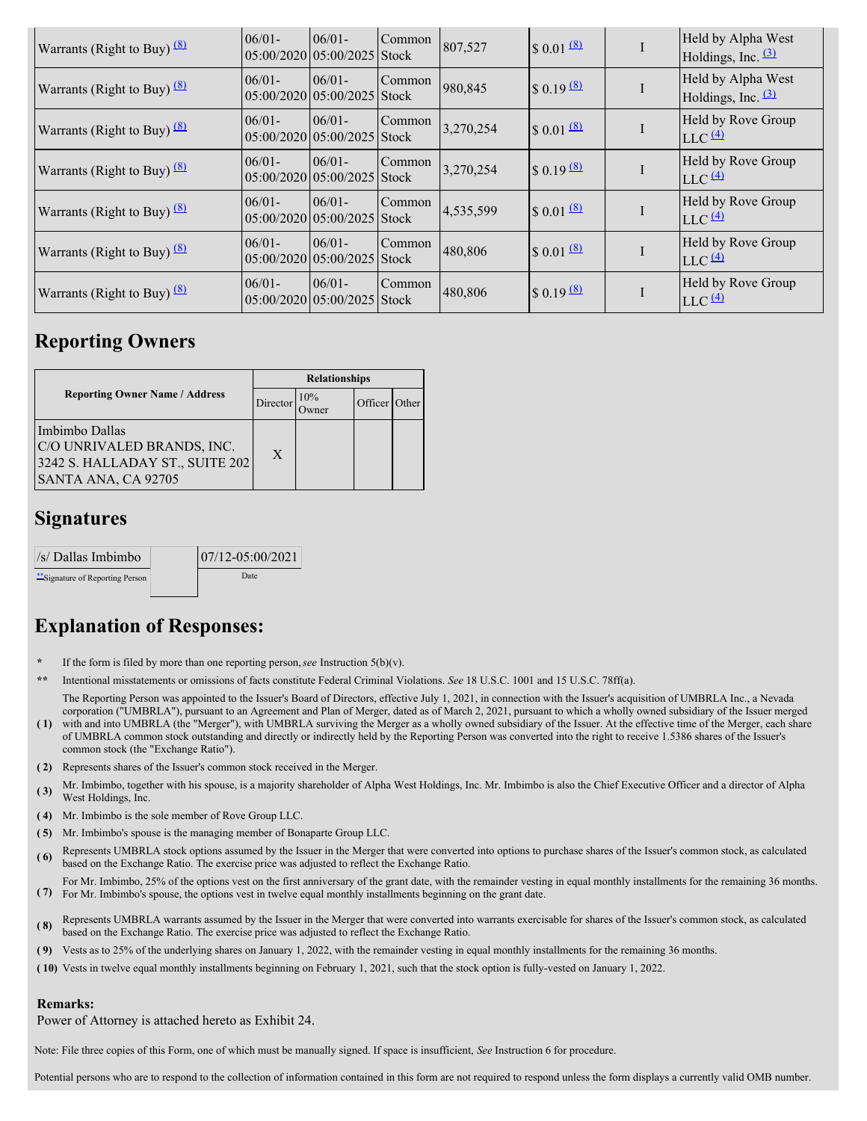| Warrants (Right to Buy) $\frac{(8)}{2}$ | $06/01 -$ | $06/01 -$<br>$05:00/2020$ 05:00/2025 Stock | Common | 807,527   | $$0.01 \frac{8}{2}$              | Held by Alpha West<br>Holdings, Inc. $\frac{(3)}{2}$    |
|-----------------------------------------|-----------|--------------------------------------------|--------|-----------|----------------------------------|---------------------------------------------------------|
| Warrants (Right to Buy) $\frac{(8)}{2}$ | $06/01 -$ | $06/01 -$<br>$05:00/2020$ 05:00/2025 Stock | Common | 980,845   | $\frac{8}{1}$ 0.19 $\frac{8}{1}$ | Held by Alpha West<br>Holdings, Inc. $(3)$              |
| Warrants (Right to Buy) $(8)$           | $06/01 -$ | $06/01 -$<br>$05:00/2020$ 05:00/2025 Stock | Common | 3,270,254 | $\frac{80.01}{6}$                | Held by Rove Group<br>$LLC$ <sup><math>(4)</math></sup> |
| Warrants (Right to Buy) $(8)$           | $06/01 -$ | $06/01 -$<br>$05:00/2020105:00/2025$ Stock | Common | 3,270,254 | $\sqrt{$}0.19^{(8)}$             | Held by Rove Group<br>$LLC$ $(4)$                       |
| Warrants (Right to Buy) $(8)$           | $06/01 -$ | $06/01 -$<br>$05:00/2020$ 05:00/2025 Stock | Common | 4,535,599 | $$0.01$ $(8)$                    | Held by Rove Group<br>$LLC$ <sup><math>(4)</math></sup> |
| Warrants (Right to Buy) $\frac{(8)}{2}$ | $06/01 -$ | $06/01 -$<br>05:00/2020105:00/20251Stock   | Common | 480,806   | $\frac{8}{0.01}$                 | Held by Rove Group<br>$LLC$ $(4)$                       |
| Warrants (Right to Buy) $(8)$           | $06/01 -$ | $06/01 -$<br>$05:00/2020105:00/2025$ Stock | Common | 480,806   | $\frac{1}{2}$ 0.19 $\frac{1}{2}$ | Held by Rove Group<br>$LLC$ <sup><math>(4)</math></sup> |

# **Reporting Owners**

|                                                                                                        | <b>Relationships</b> |     |               |  |  |
|--------------------------------------------------------------------------------------------------------|----------------------|-----|---------------|--|--|
| <b>Reporting Owner Name / Address</b>                                                                  | Director             | 10% | Officer Other |  |  |
| Imbimbo Dallas<br>C/O UNRIVALED BRANDS, INC.<br>3242 S. HALLADAY ST., SUITE 202<br>SANTA ANA, CA 92705 | X                    |     |               |  |  |

## **Signatures**

| //s/ Dallas Imbimbo              | 07/12-05:00/2021 |
|----------------------------------|------------------|
| ** Signature of Reporting Person | Date             |

# **Explanation of Responses:**

- If the form is filed by more than one reporting person,  $\text{see}$  Instruction 5(b)(v).
- **\*\*** Intentional misstatements or omissions of facts constitute Federal Criminal Violations. *See* 18 U.S.C. 1001 and 15 U.S.C. 78ff(a).
- **( 1)** with and into UMBRLA (the "Merger"), with UMBRLA surviving the Merger as a wholly owned subsidiary of the Issuer. At the effective time of the Merger, each share The Reporting Person was appointed to the Issuer's Board of Directors, effective July 1, 2021, in connection with the Issuer's acquisition of UMBRLA Inc., a Nevada corporation ("UMBRLA"), pursuant to an Agreement and Plan of Merger, dated as of March 2, 2021, pursuant to which a wholly owned subsidiary of the Issuer merged
- of UMBRLA common stock outstanding and directly or indirectly held by the Reporting Person was converted into the right to receive 1.5386 shares of the Issuer's common stock (the "Exchange Ratio").
- **( 2)** Represents shares of the Issuer's common stock received in the Merger.
- **( 3)** Mr. Imbimbo, together with his spouse, is <sup>a</sup> majority shareholder of Alpha West Holdings, Inc. Mr. Imbimbo is also the Chief Executive Officer and <sup>a</sup> director of Alpha West Holdings, Inc.
- **( 4)** Mr. Imbimbo is the sole member of Rove Group LLC.
- **( 5)** Mr. Imbimbo's spouse is the managing member of Bonaparte Group LLC.
- **(6)** Represents UMBRLA stock options assumed by the Issuer in the Merger that were converted into options to purchase shares of the Issuer's common stock, as calculated based on the Exchange Ratio. The exercise price was adjusted to reflect the Exchange Ratio.
- **( 7)** For Mr. Imbimbo's spouse, the options vest in twelve equal monthly installments beginning on the grant date. For Mr. Imbimbo, 25% of the options vest on the first anniversary of the grant date, with the remainder vesting in equal monthly installments for the remaining 36 months.
- (8) Represents UMBRLA warrants assumed by the Issuer in the Merger that were converted into warrants exercisable for shares of the Issuer's common stock, as calculated heaven a patient of the Issuer's common stock, as calc based on the Exchange Ratio. The exercise price was adjusted to reflect the Exchange Ratio.
- **( 9)** Vests as to 25% of the underlying shares on January 1, 2022, with the remainder vesting in equal monthly installments for the remaining 36 months.
- **( 10)** Vests in twelve equal monthly installments beginning on February 1, 2021, such that the stock option is fully-vested on January 1, 2022.

### **Remarks:**

Power of Attorney is attached hereto as Exhibit 24.

Note: File three copies of this Form, one of which must be manually signed. If space is insufficient, *See* Instruction 6 for procedure.

Potential persons who are to respond to the collection of information contained in this form are not required to respond unless the form displays a currently valid OMB number.